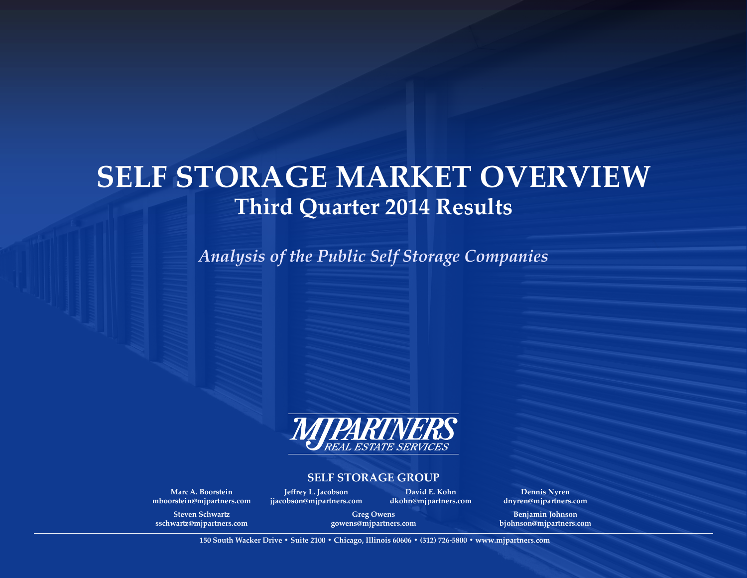# **SELF STORAGE MARKET OVERVIEW Third Quarter 2014 Results**

*Analysis of the Public Self Storage Companies*



## **SELF STORAGE GROUP**

**Marc A. Boorstein mboorstein@mjpartners.com Steven Schwartz sschwartz@mjpartners.com**

**Jeffrey L. Jacobson jjacobson@mjpartners.com**

**David E. Kohn dkohn@mjpartners.com**

**dnyren@mjpartners.com**

**Benjamin Johnson bjohnson@mjpartners.com**

**Dennis Nyren**

**gowens@mjpartners.com 150 South Wacker Drive • Suite 2100 • Chicago, Illinois 60606 • (312) 726-5800 • www.mjpartners.com**

**Greg Owens**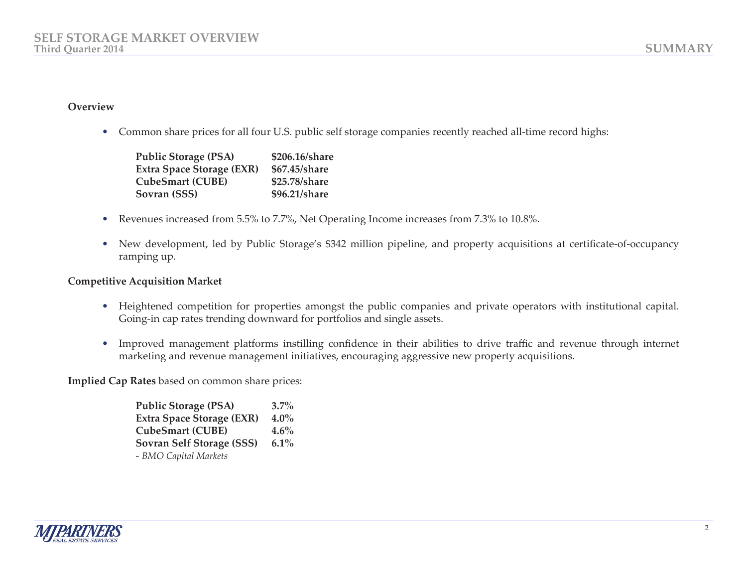# **Overview**

• Common share prices for all four U.S. public self storage companies recently reached all-time record highs:

| <b>Public Storage (PSA)</b>      | \$206.16/share |
|----------------------------------|----------------|
| <b>Extra Space Storage (EXR)</b> | \$67.45/share  |
| <b>CubeSmart (CUBE)</b>          | \$25.78/share  |
| Sovran (SSS)                     | \$96.21/share  |

- Revenues increased from 5.5% to 7.7%, Net Operating Income increases from 7.3% to 10.8%.
- • New development, led by Public Storage's \$342 million pipeline, and property acquisitions at certificate-of-occupancy ramping up.

# **Competitive Acquisition Market**

- Heightened competition for properties amongst the public companies and private operators with institutional capital. Going-in cap rates trending downward for portfolios and single assets.
- • Improved management platforms instilling confidence in their abilities to drive traffic and revenue through internet marketing and revenue management initiatives, encouraging aggressive new property acquisitions.

**Implied Cap Rates** based on common share prices:

| <b>Public Storage (PSA)</b>      | $3.7\%$ |
|----------------------------------|---------|
| <b>Extra Space Storage (EXR)</b> | $4.0\%$ |
| <b>CubeSmart (CUBE)</b>          | $4.6\%$ |
| Sovran Self Storage (SSS)        | $6.1\%$ |
| - BMO Capital Markets            |         |

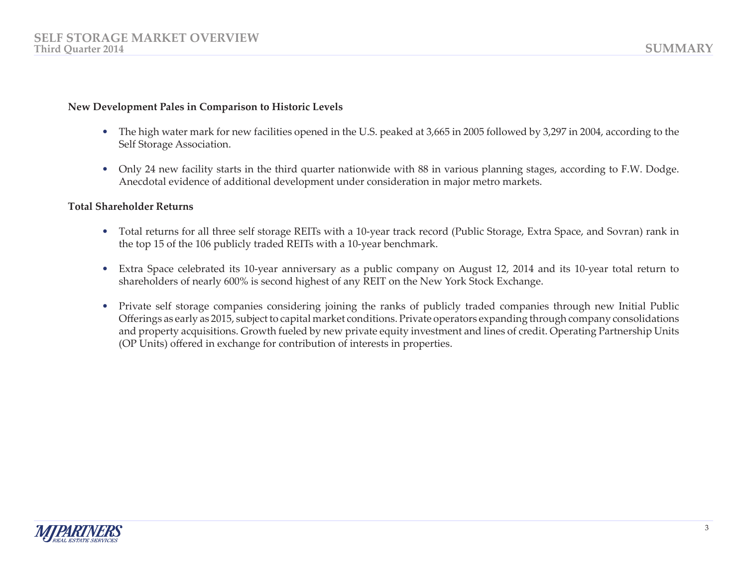# **New Development Pales in Comparison to Historic Levels**

- The high water mark for new facilities opened in the U.S. peaked at 3,665 in 2005 followed by 3,297 in 2004, according to the Self Storage Association.
- Only 24 new facility starts in the third quarter nationwide with 88 in various planning stages, according to F.W. Dodge. Anecdotal evidence of additional development under consideration in major metro markets.

### **Total Shareholder Returns**

- Total returns for all three self storage REITs with a 10-year track record (Public Storage, Extra Space, and Sovran) rank in the top 15 of the 106 publicly traded REITs with a 10-year benchmark.
- Extra Space celebrated its 10-year anniversary as a public company on August 12, 2014 and its 10-year total return to shareholders of nearly 600% is second highest of any REIT on the New York Stock Exchange.
- Private self storage companies considering joining the ranks of publicly traded companies through new Initial Public Offerings as early as 2015, subject to capital market conditions. Private operators expanding through company consolidations and property acquisitions. Growth fueled by new private equity investment and lines of credit. Operating Partnership Units (OP Units) offered in exchange for contribution of interests in properties.

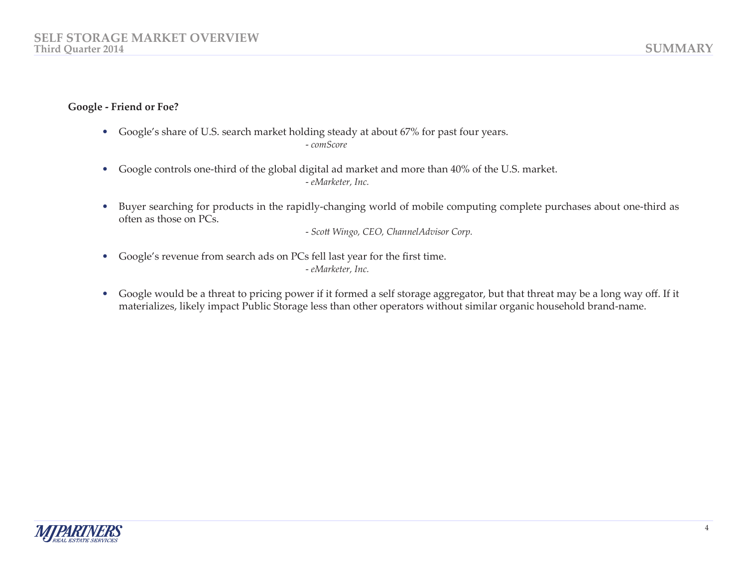# **Google - Friend or Foe?**

- Google's share of U.S. search market holding steady at about 67% for past four years. - *comScore*
- Google controls one-third of the global digital ad market and more than 40% of the U.S. market. - *eMarketer, Inc.*
- Buyer searching for products in the rapidly-changing world of mobile computing complete purchases about one-third as often as those on PCs.

- *Scott Wingo, CEO, ChannelAdvisor Corp.*

- • Google's revenue from search ads on PCs fell last year for the first time. - *eMarketer, Inc.*
- • Google would be a threat to pricing power if it formed a self storage aggregator, but that threat may be a long way off. If it materializes, likely impact Public Storage less than other operators without similar organic household brand-name.

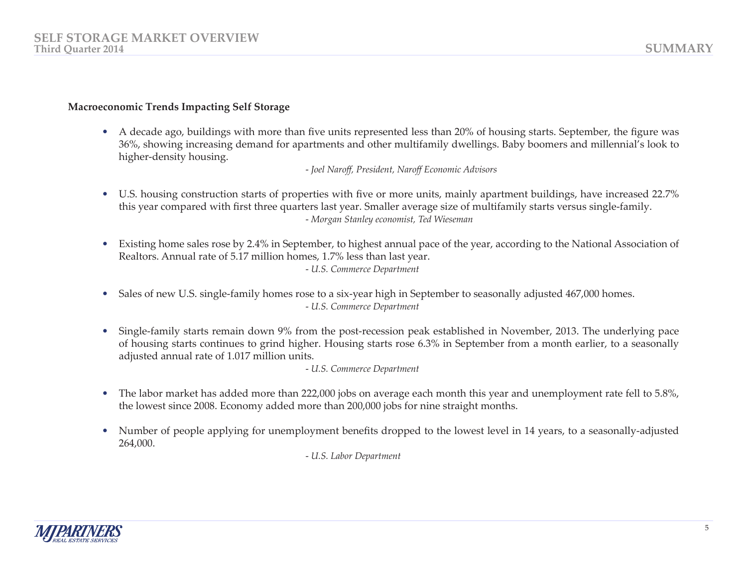# **Macroeconomic Trends Impacting Self Storage**

• A decade ago, buildings with more than five units represented less than 20% of housing starts. September, the figure was 36%, showing increasing demand for apartments and other multifamily dwellings. Baby boomers and millennial's look to higher-density housing.

- *Joel Naroff, President, Naroff Economic Advisors*

- • U.S. housing construction starts of properties with five or more units, mainly apartment buildings, have increased 22.7% this year compared with first three quarters last year. Smaller average size of multifamily starts versus single-family. - *Morgan Stanley economist, Ted Wieseman*
- Existing home sales rose by 2.4% in September, to highest annual pace of the year, according to the National Association of Realtors. Annual rate of 5.17 million homes, 1.7% less than last year. - *U.S. Commerce Department*
- Sales of new U.S. single-family homes rose to a six-year high in September to seasonally adjusted 467,000 homes. - *U.S. Commerce Department*
- Single-family starts remain down 9% from the post-recession peak established in November, 2013. The underlying pace of housing starts continues to grind higher. Housing starts rose 6.3% in September from a month earlier, to a seasonally adjusted annual rate of 1.017 million units.

- *U.S. Commerce Department*

- The labor market has added more than 222,000 jobs on average each month this year and unemployment rate fell to 5.8%, the lowest since 2008. Economy added more than 200,000 jobs for nine straight months.
- Number of people applying for unemployment benefits dropped to the lowest level in 14 years, to a seasonally-adjusted 264,000.

- *U.S. Labor Department*

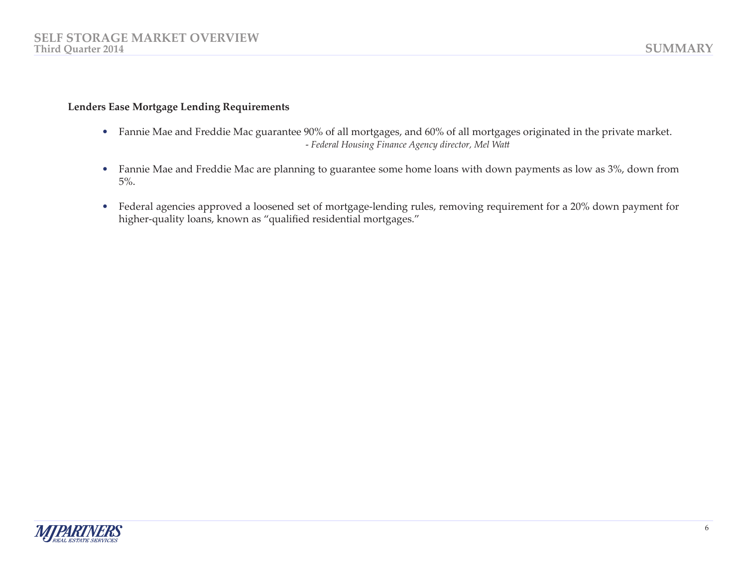# **Lenders Ease Mortgage Lending Requirements**

- Fannie Mae and Freddie Mac guarantee 90% of all mortgages, and 60% of all mortgages originated in the private market. - *Federal Housing Finance Agency director, Mel Watt*
- Fannie Mae and Freddie Mac are planning to guarantee some home loans with down payments as low as 3%, down from 5%.
- Federal agencies approved a loosened set of mortgage-lending rules, removing requirement for a 20% down payment for higher-quality loans, known as "qualified residential mortgages."

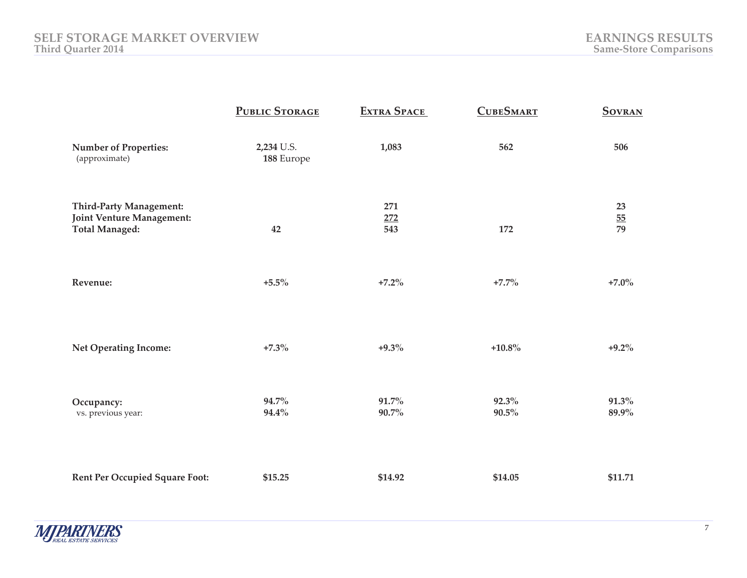|                                                                                      | <b>PUBLIC STORAGE</b>    | <b>EXTRA SPACE</b> | <b>CUBESMART</b>  | <b>SOVRAN</b>         |
|--------------------------------------------------------------------------------------|--------------------------|--------------------|-------------------|-----------------------|
| <b>Number of Properties:</b><br>(approximate)                                        | 2,234 U.S.<br>188 Europe | 1,083              | 562               | 506                   |
| <b>Third-Party Management:</b><br>Joint Venture Management:<br><b>Total Managed:</b> | 42                       | 271<br>272<br>543  | 172               | 23<br>$\frac{55}{79}$ |
| Revenue:                                                                             | $+5.5\%$                 | $+7.2\%$           | $+7.7\%$          | $+7.0\%$              |
| <b>Net Operating Income:</b>                                                         | $+7.3\%$                 | $+9.3\%$           | $+10.8\%$         | $+9.2\%$              |
| Occupancy:<br>vs. previous year:                                                     | 94.7%<br>$94.4\%$        | 91.7%<br>90.7%     | 92.3%<br>$90.5\%$ | 91.3%<br>89.9%        |
| <b>Rent Per Occupied Square Foot:</b>                                                | \$15.25                  | \$14.92            | \$14.05           | \$11.71               |

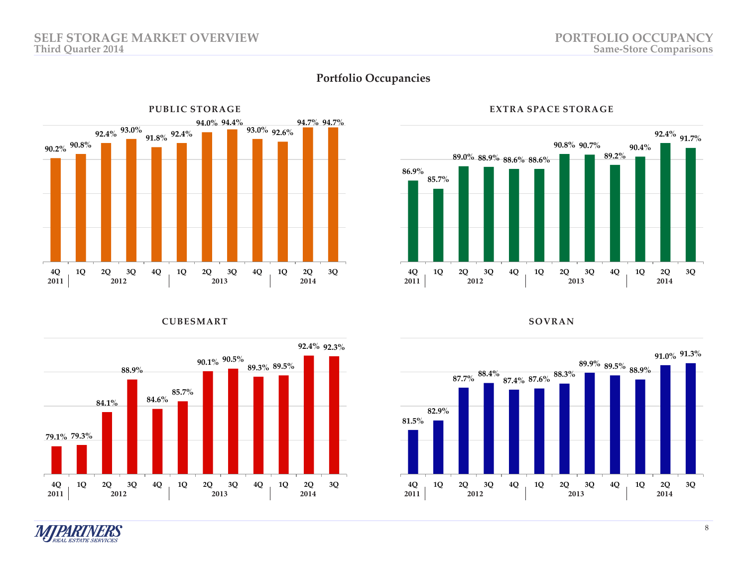



### **EXTRA SPACE STORAGE**



# **CUBESMART SOVRAN**



M

**PARTINERS** 



8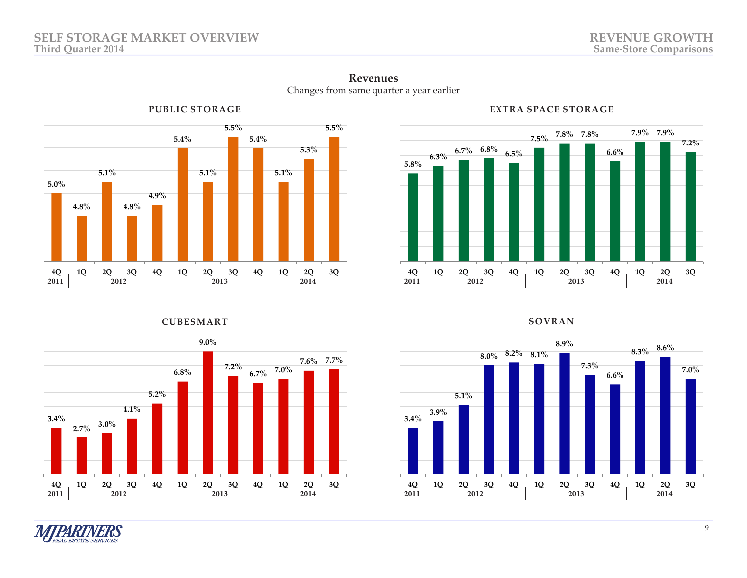

### **Revenues** Changes from same quarter a year earlier



# **CUBESMART SOVRAN**



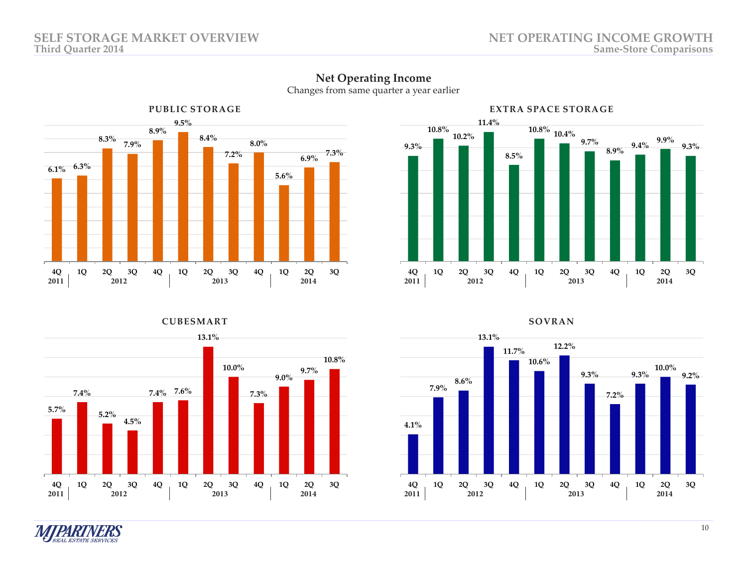

# **Net Operating Income**

Changes from same quarter a year earlier





**CUBESMART SOVRAN**



 $M_{\vec{k}}$ **PARTNERS**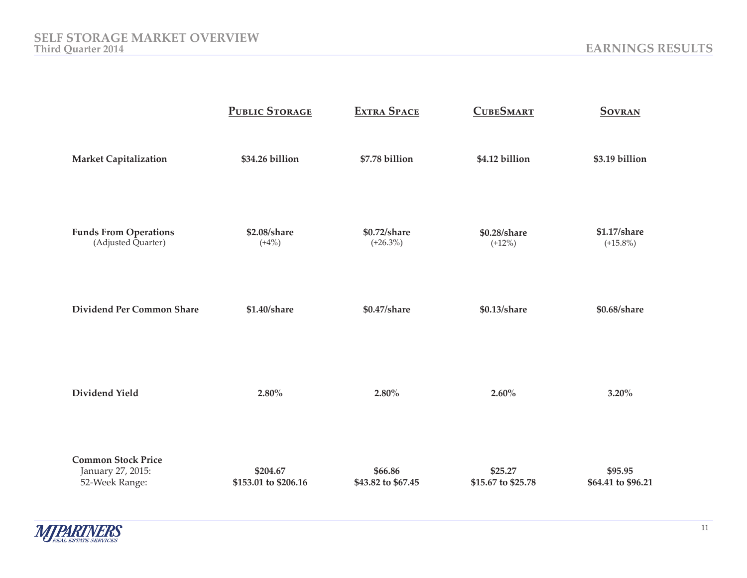|                                                                  | <b>PUBLIC STORAGE</b>            | <b>EXTRA SPACE</b>            | <b>CUBESMART</b>              | <b>SOVRAN</b>                 |
|------------------------------------------------------------------|----------------------------------|-------------------------------|-------------------------------|-------------------------------|
| <b>Market Capitalization</b>                                     | \$34.26 billion                  | \$7.78 billion                | \$4.12 billion                | \$3.19 billion                |
| <b>Funds From Operations</b><br>(Adjusted Quarter)               | \$2.08/share<br>$(+4%)$          | \$0.72/share<br>$(+26.3\%)$   | \$0.28/share<br>$(+12%)$      | \$1.17/share<br>$(+15.8\%)$   |
| <b>Dividend Per Common Share</b>                                 | \$1.40/share                     | \$0.47/share                  | \$0.13/share                  | \$0.68/share                  |
| Dividend Yield                                                   | 2.80%                            | 2.80%                         | $2.60\%$                      | 3.20%                         |
| <b>Common Stock Price</b><br>January 27, 2015:<br>52-Week Range: | \$204.67<br>\$153.01 to \$206.16 | \$66.86<br>\$43.82 to \$67.45 | \$25.27<br>\$15.67 to \$25.78 | \$95.95<br>\$64.41 to \$96.21 |

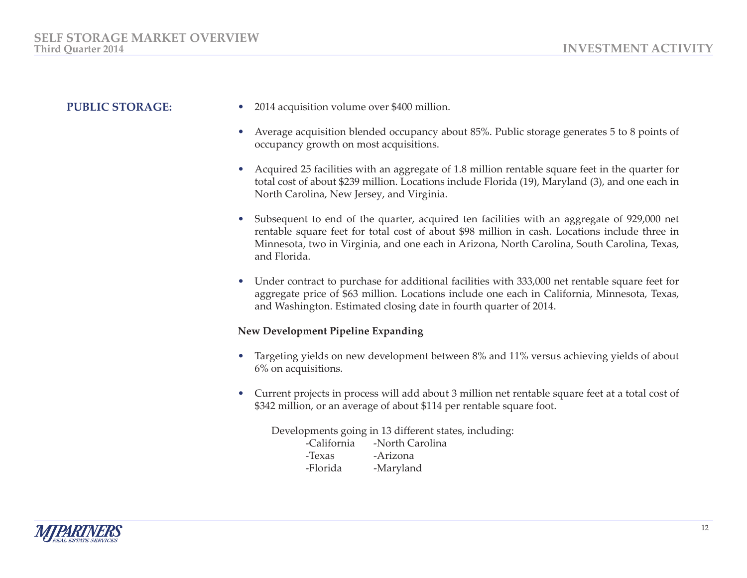- **PUBLIC STORAGE:** 2014 acquisition volume over \$400 million.
	- Average acquisition blended occupancy about 85%. Public storage generates 5 to 8 points of occupancy growth on most acquisitions.
	- Acquired 25 facilities with an aggregate of 1.8 million rentable square feet in the quarter for total cost of about \$239 million. Locations include Florida (19), Maryland (3), and one each in North Carolina, New Jersey, and Virginia.
	- Subsequent to end of the quarter, acquired ten facilities with an aggregate of 929,000 net rentable square feet for total cost of about \$98 million in cash. Locations include three in Minnesota, two in Virginia, and one each in Arizona, North Carolina, South Carolina, Texas, and Florida.
	- Under contract to purchase for additional facilities with 333,000 net rentable square feet for aggregate price of \$63 million. Locations include one each in California, Minnesota, Texas, and Washington. Estimated closing date in fourth quarter of 2014.

### **New Development Pipeline Expanding**

- Targeting yields on new development between 8% and 11% versus achieving yields of about 6% on acquisitions.
- Current projects in process will add about 3 million net rentable square feet at a total cost of \$342 million, or an average of about \$114 per rentable square foot.

 Developments going in 13 different states, including: -California -North Carolina -Texas -Arizona -Florida -Maryland

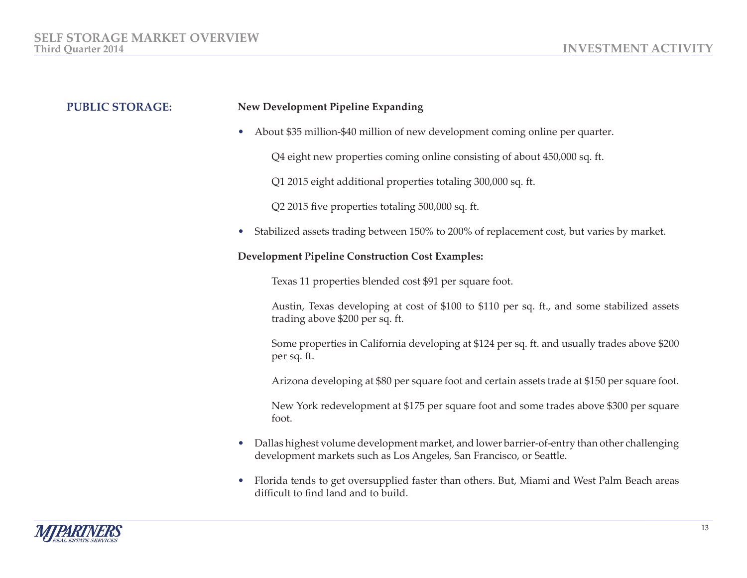# **PUBLIC STORAGE: New Development Pipeline Expanding**

• About \$35 million-\$40 million of new development coming online per quarter.

Q4 eight new properties coming online consisting of about 450,000 sq. ft.

Q1 2015 eight additional properties totaling 300,000 sq. ft.

 Q2 2015 five properties totaling 500,000 sq. ft.

• Stabilized assets trading between 150% to 200% of replacement cost, but varies by market.

### **Development Pipeline Construction Cost Examples:**

Texas 11 properties blended cost \$91 per square foot.

Austin, Texas developing at cost of \$100 to \$110 per sq. ft., and some stabilized assets trading above \$200 per sq. ft.

Some properties in California developing at \$124 per sq. ft. and usually trades above \$200 per sq. ft.

Arizona developing at \$80 per square foot and certain assets trade at \$150 per square foot.

New York redevelopment at \$175 per square foot and some trades above \$300 per square foot.

- Dallas highest volume development market, and lower barrier-of-entry than other challenging development markets such as Los Angeles, San Francisco, or Seattle.
- Florida tends to get oversupplied faster than others. But, Miami and West Palm Beach areas difficult to find land and to build.

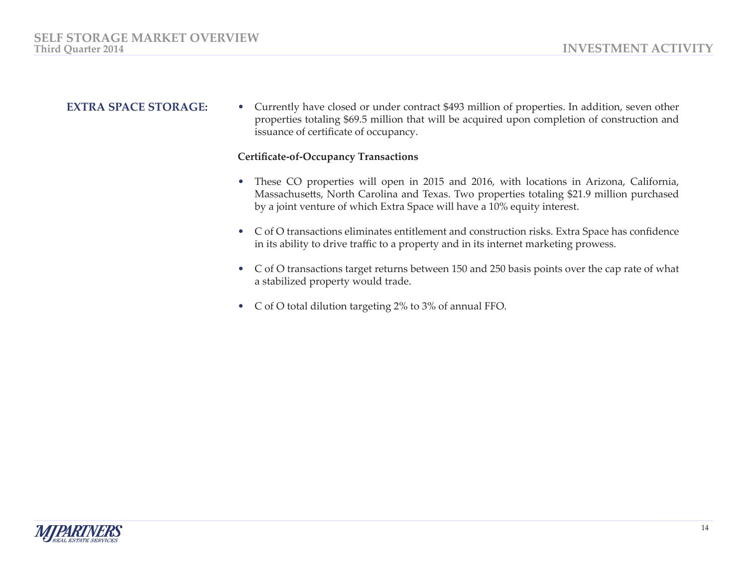**EXTRA SPACE STORAGE:** • Currently have closed or under contract \$493 million of properties. In addition, seven other properties totaling \$69.5 million that will be acquired upon completion of construction and issuance of certificate of occupancy.

# **Certificate-of-Occupancy Transactions**

- These CO properties will open in 2015 and 2016, with locations in Arizona, California, Massachusetts, North Carolina and Texas. Two properties totaling \$21.9 million purchased by a joint venture of which Extra Space will have a 10% equity interest.
- • C of O transactions eliminates entitlement and construction risks. Extra Space has confidence in its ability to drive traffic to a property and in its internet marketing prowess.
- C of O transactions target returns between 150 and 250 basis points over the cap rate of what a stabilized property would trade.
- C of O total dilution targeting 2% to 3% of annual FFO.

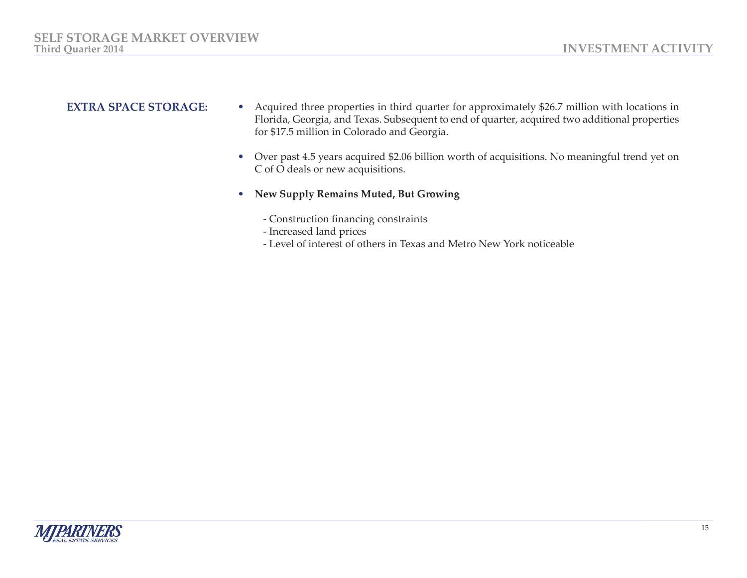- **EXTRA SPACE STORAGE:** Acquired three properties in third quarter for approximately \$26.7 million with locations in Florida, Georgia, and Texas. Subsequent to end of quarter, acquired two additional properties for \$17.5 million in Colorado and Georgia.
	- Over past 4.5 years acquired \$2.06 billion worth of acquisitions. No meaningful trend yet on C of O deals or new acquisitions.
	- **New Supply Remains Muted, But Growing**
		- Construction financing constraints
		- Increased land prices
		- Level of interest of others in Texas and Metro New York noticeable

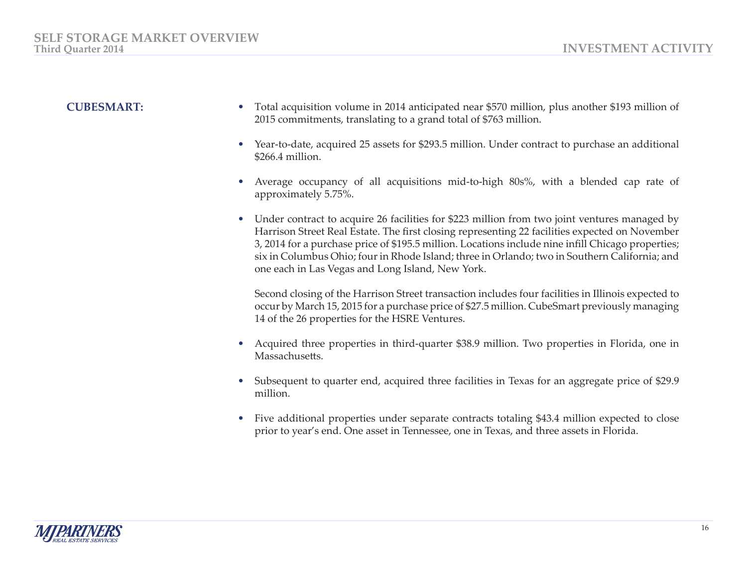- **CUBESMART:** Total acquisition volume in 2014 anticipated near \$570 million, plus another \$193 million of 2015 commitments, translating to a grand total of \$763 million.
	- Year-to-date, acquired 25 assets for \$293.5 million. Under contract to purchase an additional \$266.4 million.
	- Average occupancy of all acquisitions mid-to-high 80s%, with a blended cap rate of approximately 5.75%.
	- Under contract to acquire 26 facilities for \$223 million from two joint ventures managed by Harrison Street Real Estate. The first closing representing 22 facilities expected on November 3, 2014 for a purchase price of \$195.5 million. Locations include nine infill Chicago properties; six in Columbus Ohio; four in Rhode Island; three in Orlando; two in Southern California; and one each in Las Vegas and Long Island, New York.

Second closing of the Harrison Street transaction includes four facilities in Illinois expected to occur by March 15, 2015 for a purchase price of \$27.5 million. CubeSmart previously managing 14 of the 26 properties for the HSRE Ventures.

- Acquired three properties in third-quarter \$38.9 million. Two properties in Florida, one in Massachusetts.
- Subsequent to quarter end, acquired three facilities in Texas for an aggregate price of \$29.9 million.
- Five additional properties under separate contracts totaling \$43.4 million expected to close prior to year's end. One asset in Tennessee, one in Texas, and three assets in Florida.

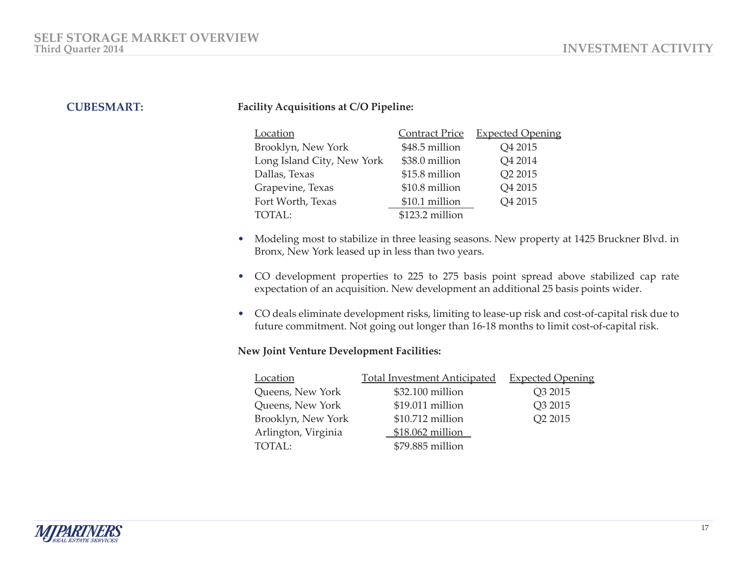# **CUBESMART: Facility Acquisitions at C/O Pipeline:**

| <b>Contract Price</b> | <b>Expected Opening</b> |
|-----------------------|-------------------------|
| \$48.5 million        | Q4 2015                 |
| \$38.0 million        | Q4 2014                 |
| \$15.8 million        | Q2 2015                 |
| \$10.8 million        | Q4 2015                 |
| \$10.1 million        | Q4 2015                 |
| \$123.2 million       |                         |
|                       |                         |

- Modeling most to stabilize in three leasing seasons. New property at 1425 Bruckner Blvd. in Bronx, New York leased up in less than two years.
- CO development properties to 225 to 275 basis point spread above stabilized cap rate expectation of an acquisition. New development an additional 25 basis points wider.
- CO deals eliminate development risks, limiting to lease-up risk and cost-of-capital risk due to future commitment. Not going out longer than 16-18 months to limit cost-of-capital risk.

# **New Joint Venture Development Facilities:**

| Location            | <b>Total Investment Anticipated</b> | <b>Expected Opening</b> |
|---------------------|-------------------------------------|-------------------------|
| Queens, New York    | \$32.100 million                    | Q3 2015                 |
| Queens, New York    | \$19.011 million                    | Q3 2015                 |
| Brooklyn, New York  | \$10.712 million                    | Q2 2015                 |
| Arlington, Virginia | \$18.062 million                    |                         |
| TOTAL:              | \$79.885 million                    |                         |

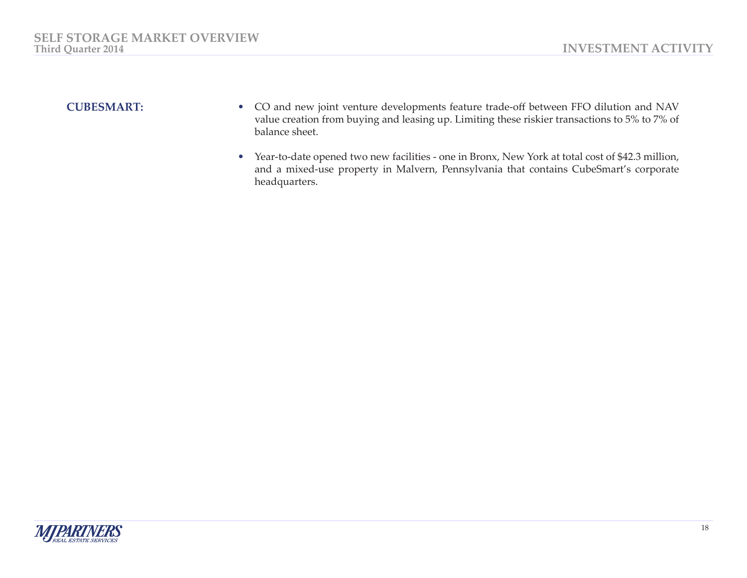- **CUBESMART:** CO and new joint venture developments feature trade-off between FFO dilution and NAV value creation from buying and leasing up. Limiting these riskier transactions to 5% to 7% of balance sheet.
	- Year-to-date opened two new facilities one in Bronx, New York at total cost of \$42.3 million, and a mixed-use property in Malvern, Pennsylvania that contains CubeSmart's corporate headquarters.

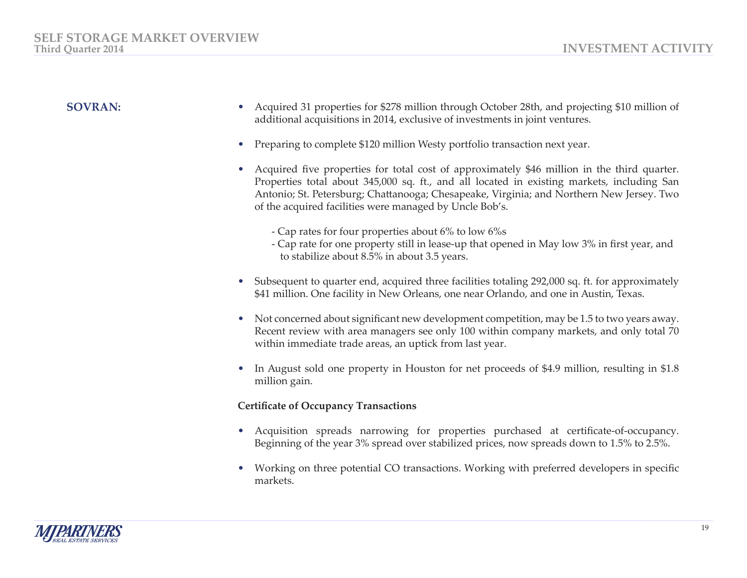- **SOVRAN:** Acquired 31 properties for \$278 million through October 28th, and projecting \$10 million of additional acquisitions in 2014, exclusive of investments in joint ventures.
	- Preparing to complete \$120 million Westy portfolio transaction next year.
	- Acquired five properties for total cost of approximately \$46 million in the third quarter. Properties total about 345,000 sq. ft., and all located in existing markets, including San Antonio; St. Petersburg; Chattanooga; Chesapeake, Virginia; and Northern New Jersey. Two of the acquired facilities were managed by Uncle Bob's.
		- Cap rates for four properties about 6% to low 6%s
		- Cap rate for one property still in lease-up that opened in May low 3% in first year, and to stabilize about 8.5% in about 3.5 years.
	- Subsequent to quarter end, acquired three facilities totaling 292,000 sq. ft. for approximately \$41 million. One facility in New Orleans, one near Orlando, and one in Austin, Texas.
	- Not concerned about significant new development competition, may be 1.5 to two years away. Recent review with area managers see only 100 within company markets, and only total 70 within immediate trade areas, an uptick from last year.
	- In August sold one property in Houston for net proceeds of \$4.9 million, resulting in \$1.8 million gain.

# **Certificate of Occupancy Transactions**

- • Acquisition spreads narrowing for properties purchased at certificate-of-occupancy. Beginning of the year 3% spread over stabilized prices, now spreads down to 1.5% to 2.5%.
- Working on three potential CO transactions. Working with preferred developers in specific markets.

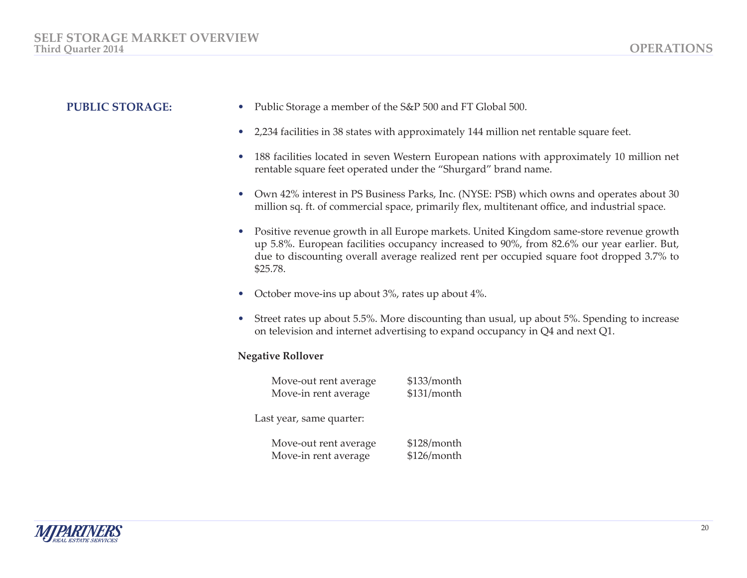- **PUBLIC STORAGE:** Public Storage a member of the S&P 500 and FT Global 500.
	- 2,234 facilities in 38 states with approximately 144 million net rentable square feet.
	- 188 facilities located in seven Western European nations with approximately 10 million net rentable square feet operated under the "Shurgard" brand name.
	- Own 42% interest in PS Business Parks, Inc. (NYSE: PSB) which owns and operates about 30 million sq. ft. of commercial space, primarily flex, multitenant office, and industrial space.
	- Positive revenue growth in all Europe markets. United Kingdom same-store revenue growth up 5.8%. European facilities occupancy increased to 90%, from 82.6% our year earlier. But, due to discounting overall average realized rent per occupied square foot dropped 3.7% to \$25.78.
	- October move-ins up about 3%, rates up about 4%.
	- Street rates up about 5.5%. More discounting than usual, up about 5%. Spending to increase on television and internet advertising to expand occupancy in Q4 and next Q1.

### **Negative Rollover**

| Move-out rent average    | \$133/month |
|--------------------------|-------------|
| Move-in rent average     | \$131/month |
| Last year, same quarter: |             |
| Move-out rent average    | \$128/month |
| Move-in rent average     | \$126/month |

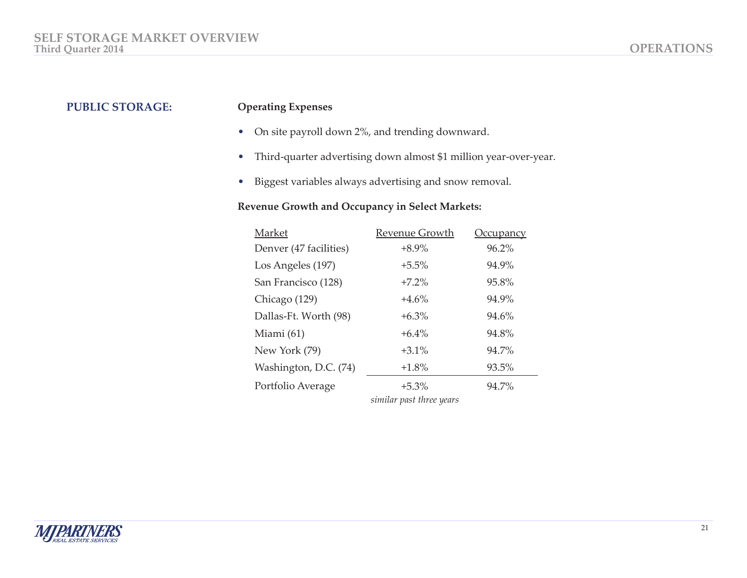# **PUBLIC STORAGE: Operating Expenses**

- On site payroll down 2%, and trending downward.
- Third-quarter advertising down almost \$1 million year-over-year.
- Biggest variables always advertising and snow removal.

# **Revenue Growth and Occupancy in Select Markets:**

| Market                 | <b>Revenue Growth</b>    | <b>Occupancy</b> |
|------------------------|--------------------------|------------------|
| Denver (47 facilities) | $+8.9\%$                 | 96.2%            |
| Los Angeles (197)      | $+5.5\%$                 | 94.9%            |
| San Francisco (128)    | $+7.2\%$                 | 95.8%            |
| Chicago (129)          | $+4.6%$                  | 94.9%            |
| Dallas-Ft. Worth (98)  | $+6.3\%$                 | 94.6%            |
| Miami (61)             | $+6.4\%$                 | 94.8%            |
| New York (79)          | $+3.1\%$                 | 94.7%            |
| Washington, D.C. (74)  | $+1.8\%$                 | 93.5%            |
| Portfolio Average      | $+5.3\%$                 | 94.7%            |
|                        | similar past three years |                  |

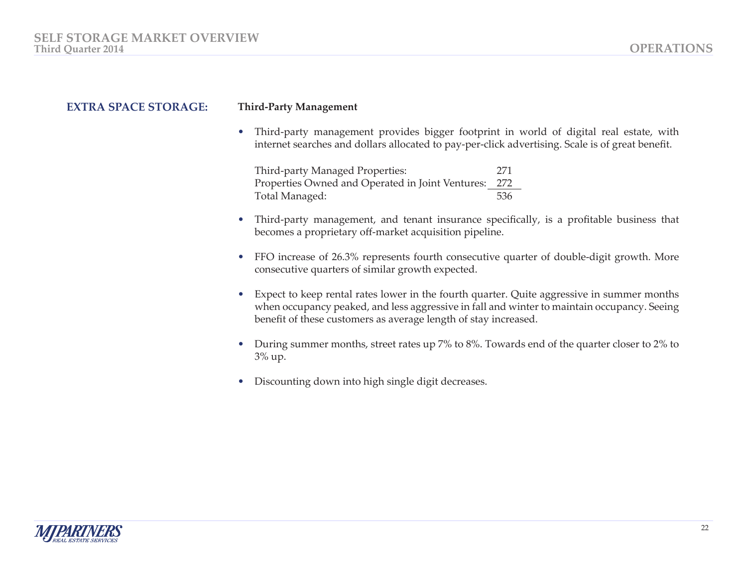# **EXTRA SPACE STORAGE: Third-Party Management**

• Third-party management provides bigger footprint in world of digital real estate, with internet searches and dollars allocated to pay-per-click advertising. Scale is of great benefit.

| Third-party Managed Properties:                  | 271 |
|--------------------------------------------------|-----|
| Properties Owned and Operated in Joint Ventures: | 272 |
| Total Managed:                                   | 536 |

- Third-party management, and tenant insurance specifically, is a profitable business that becomes a proprietary off-market acquisition pipeline.
- FFO increase of 26.3% represents fourth consecutive quarter of double-digit growth. More consecutive quarters of similar growth expected.
- Expect to keep rental rates lower in the fourth quarter. Quite aggressive in summer months when occupancy peaked, and less aggressive in fall and winter to maintain occupancy. Seeing benefit of these customers as average length of stay increased.
- During summer months, street rates up 7% to 8%. Towards end of the quarter closer to 2% to 3% up.
- Discounting down into high single digit decreases.

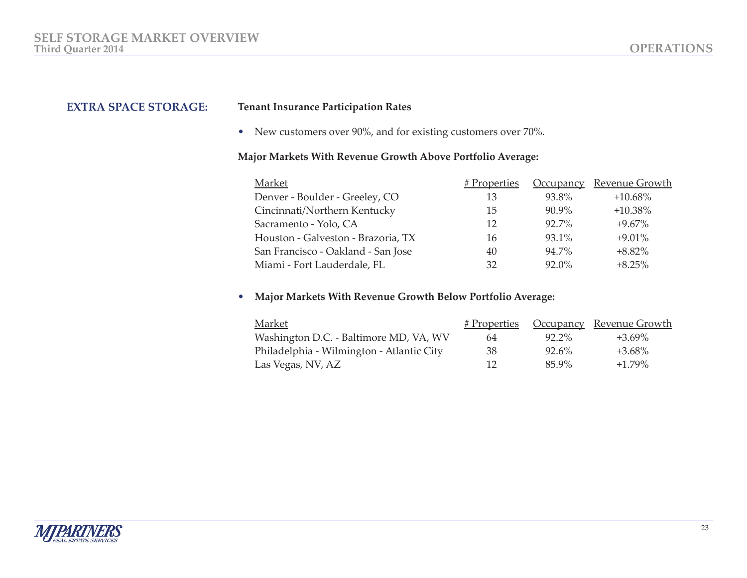# **EXTRA SPACE STORAGE: Tenant Insurance Participation Rates**

• New customers over 90%, and for existing customers over 70%.

# **Major Markets With Revenue Growth Above Portfolio Average:**

| Market                             | # Properties |          | Occupancy Revenue Growth |
|------------------------------------|--------------|----------|--------------------------|
| Denver - Boulder - Greeley, CO     | 13           | 93.8%    | $+10.68%$                |
| Cincinnati/Northern Kentucky       | 15           | $90.9\%$ | $+10.38%$                |
| Sacramento - Yolo, CA              | 12           | 92.7%    | $+9.67\%$                |
| Houston - Galveston - Brazoria, TX | 16           | 93.1%    | $+9.01\%$                |
| San Francisco - Oakland - San Jose | 40           | 94.7%    | $+8.82\%$                |
| Miami - Fort Lauderdale, FL        | 32           | $92.0\%$ | $+8.25%$                 |

# • **Major Markets With Revenue Growth Below Portfolio Average:**

| Market                                    | <u># Properties</u> |          | <u>Occupancy Revenue Growth</u> |
|-------------------------------------------|---------------------|----------|---------------------------------|
| Washington D.C. - Baltimore MD, VA, WV    | 64                  | $92.2\%$ | $+3.69\%$                       |
| Philadelphia - Wilmington - Atlantic City | 38                  | $92.6\%$ | $+3.68\%$                       |
| Las Vegas, NV, AZ                         |                     | 85.9%    | $+1.79\%$                       |

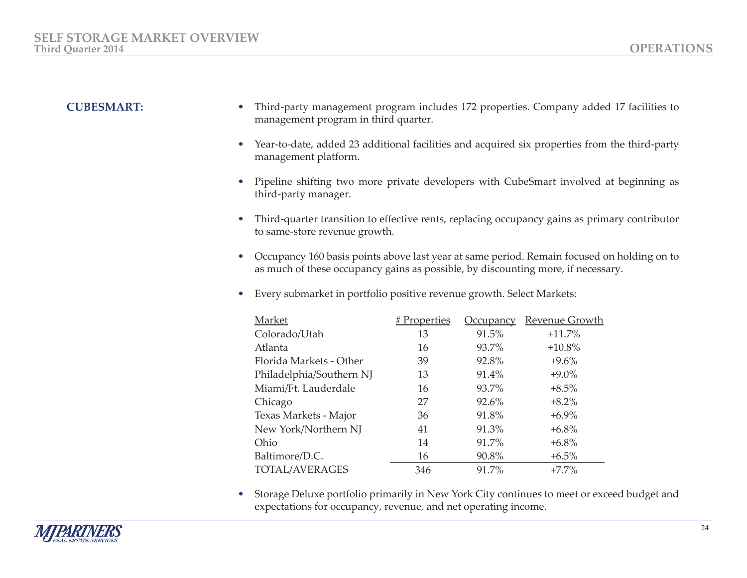- **CUBESMART:** Third-party management program includes 172 properties. Company added 17 facilities to management program in third quarter.
	- Year-to-date, added 23 additional facilities and acquired six properties from the third-party management platform.
	- Pipeline shifting two more private developers with CubeSmart involved at beginning as third-party manager.
	- Third-quarter transition to effective rents, replacing occupancy gains as primary contributor to same-store revenue growth.
	- Occupancy 160 basis points above last year at same period. Remain focused on holding on to as much of these occupancy gains as possible, by discounting more, if necessary.
	- Every submarket in portfolio positive revenue growth. Select Markets:

| Market                   | # Properties | <u>Occupancy</u> | <b>Revenue Growth</b> |
|--------------------------|--------------|------------------|-----------------------|
| Colorado/Utah            | 13           | 91.5%            | $+11.7%$              |
| Atlanta                  | 16           | 93.7%            | $+10.8%$              |
| Florida Markets - Other  | 39           | 92.8%            | $+9.6\%$              |
| Philadelphia/Southern NJ | 13           | 91.4%            | $+9.0\%$              |
| Miami/Ft. Lauderdale     | 16           | 93.7%            | $+8.5\%$              |
| Chicago                  | 27           | 92.6%            | $+8.2\%$              |
| Texas Markets - Major    | 36           | 91.8%            | $+6.9\%$              |
| New York/Northern NJ     | 41           | 91.3%            | $+6.8\%$              |
| Ohio                     | 14           | 91.7%            | $+6.8\%$              |
| Baltimore/D.C.           | 16           | 90.8%            | $+6.5\%$              |
| TOTAL/AVERAGES           | 346          | 91.7%            | $+7.7\%$              |

• Storage Deluxe portfolio primarily in New York City continues to meet or exceed budget and expectations for occupancy, revenue, and net operating income.

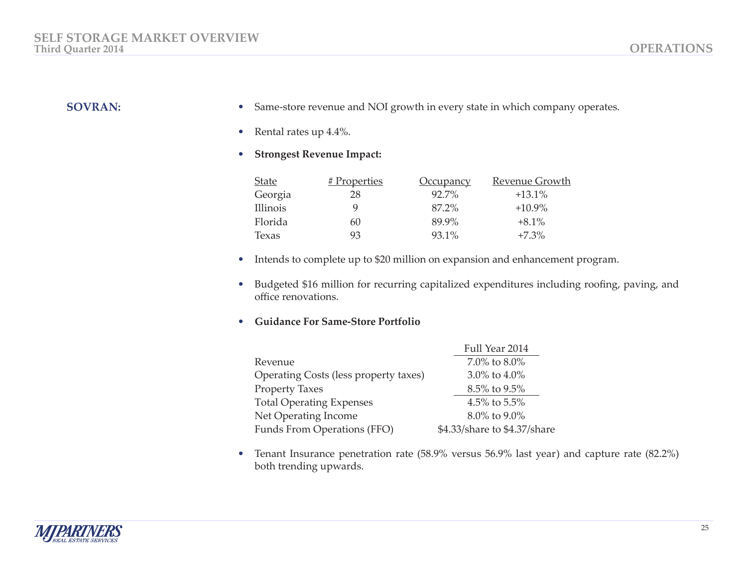- **SOVRAN:** Same-store revenue and NOI growth in every state in which company operates.
	- Rental rates up 4.4%.
	- **Strongest Revenue Impact:**

| State    | <u># Properties</u> | <u>Occupancy</u> | <b>Revenue Growth</b> |
|----------|---------------------|------------------|-----------------------|
| Georgia  | 28                  | 92.7%            | $+13.1\%$             |
| Illinois |                     | 87.2%            | $+10.9\%$             |
| Florida  | 60                  | 89.9%            | $+8.1\%$              |
| Texas    | 93                  | $93.1\%$         | $+7.3\%$              |
|          |                     |                  |                       |

- Intends to complete up to \$20 million on expansion and enhancement program.
- • Budgeted \$16 million for recurring capitalized expenditures including roofing, paving, and office renovations.
- **Guidance For Same-Store Portfolio**

|                                       | Full Year 2014               |
|---------------------------------------|------------------------------|
| Revenue                               | 7.0% to 8.0%                 |
| Operating Costs (less property taxes) | 3.0% to $4.0\%$              |
| <b>Property Taxes</b>                 | 8.5% to 9.5%                 |
| <b>Total Operating Expenses</b>       | 4.5% to $5.5%$               |
| Net Operating Income                  | 8.0% to 9.0%                 |
| Funds From Operations (FFO)           | \$4.33/share to \$4.37/share |

• Tenant Insurance penetration rate (58.9% versus 56.9% last year) and capture rate (82.2%) both trending upwards.

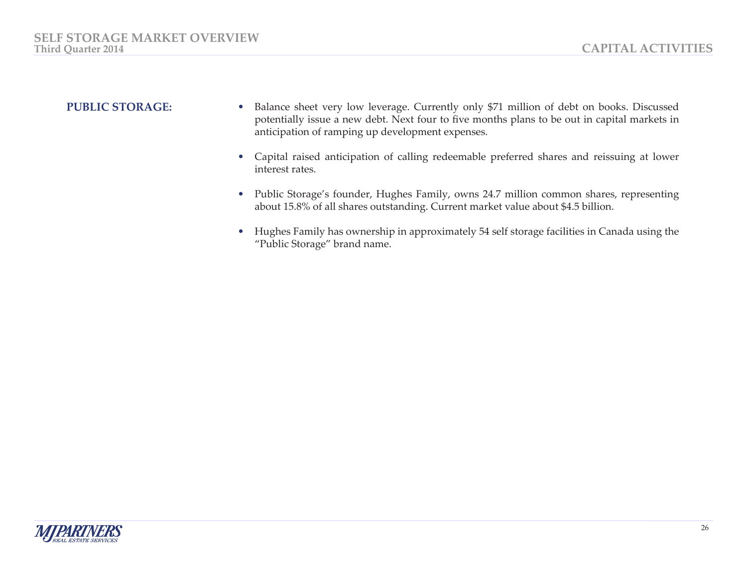- **PUBLIC STORAGE:** Balance sheet very low leverage. Currently only \$71 million of debt on books. Discussed potentially issue a new debt. Next four to five months plans to be out in capital markets in anticipation of ramping up development expenses.
	- Capital raised anticipation of calling redeemable preferred shares and reissuing at lower interest rates.
	- Public Storage's founder, Hughes Family, owns 24.7 million common shares, representing about 15.8% of all shares outstanding. Current market value about \$4.5 billion.
	- Hughes Family has ownership in approximately 54 self storage facilities in Canada using the "Public Storage" brand name.

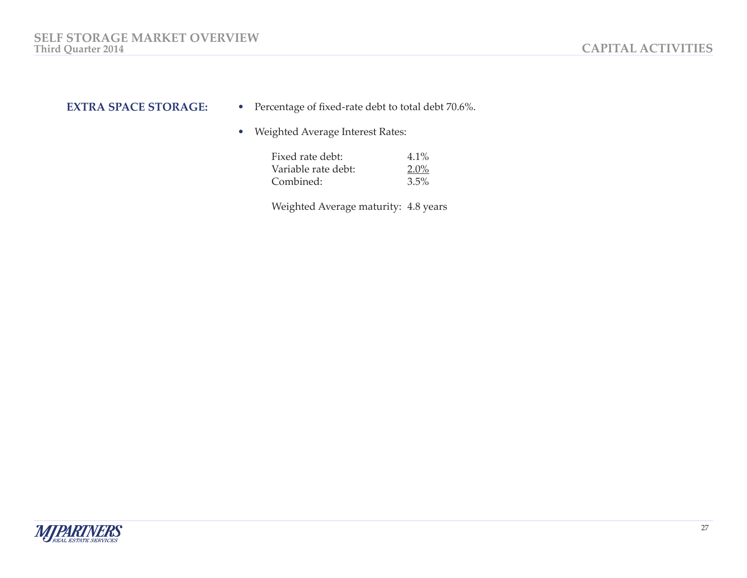- **EXTRA SPACE STORAGE:** Percentage of fixed-rate debt to total debt 70.6%.
	- Weighted Average Interest Rates:

| Fixed rate debt:    | $4.1\%$ |
|---------------------|---------|
| Variable rate debt: | $2.0\%$ |
| Combined:           | $3.5\%$ |

Weighted Average maturity: 4.8 years

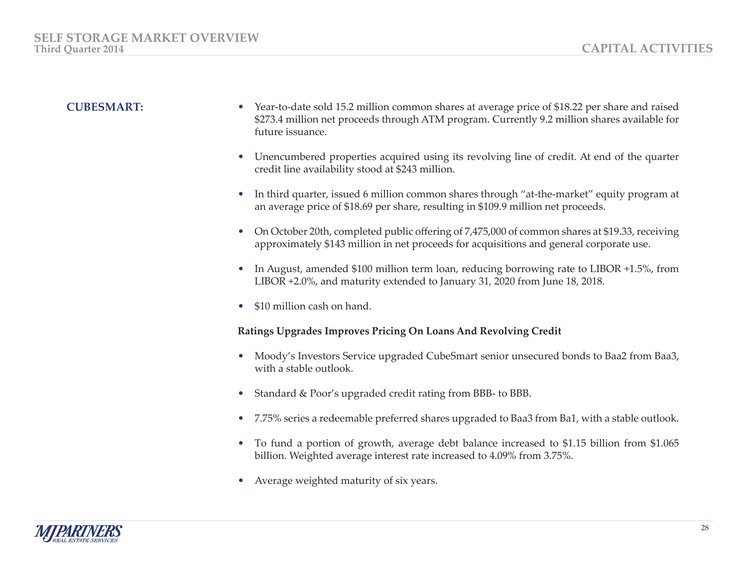- **CUBESMART:** Year-to-date sold 15.2 million common shares at average price of \$18.22 per share and raised \$273.4 million net proceeds through ATM program. Currently 9.2 million shares available for future issuance.
	- Unencumbered properties acquired using its revolving line of credit. At end of the quarter credit line availability stood at \$243 million.
	- In third quarter, issued 6 million common shares through "at-the-market" equity program at an average price of \$18.69 per share, resulting in \$109.9 million net proceeds.
	- On October 20th, completed public offering of 7,475,000 of common shares at \$19.33, receiving approximately \$143 million in net proceeds for acquisitions and general corporate use.
	- In August, amended \$100 million term loan, reducing borrowing rate to LIBOR +1.5%, from LIBOR +2.0%, and maturity extended to January 31, 2020 from June 18, 2018.
	- \$10 million cash on hand.

# **Ratings Upgrades Improves Pricing On Loans And Revolving Credit**

- Moody's Investors Service upgraded CubeSmart senior unsecured bonds to Baa2 from Baa3, with a stable outlook.
- Standard & Poor's upgraded credit rating from BBB- to BBB.
- 7.75% series a redeemable preferred shares upgraded to Baa3 from Ba1, with a stable outlook.
- To fund a portion of growth, average debt balance increased to \$1.15 billion from \$1.065 billion. Weighted average interest rate increased to 4.09% from 3.75%.
- Average weighted maturity of six years.